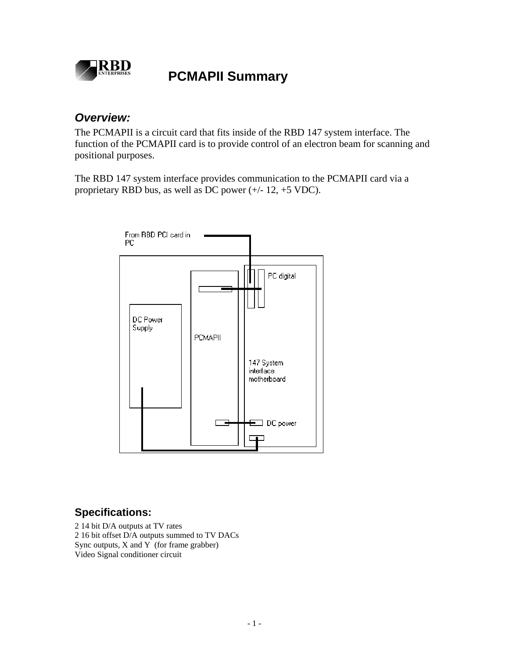

# **RBD**<br>PCMAPII Summary

#### *Overview:*

The PCMAPII is a circuit card that fits inside of the RBD 147 system interface. The function of the PCMAPII card is to provide control of an electron beam for scanning and positional purposes.

The RBD 147 system interface provides communication to the PCMAPII card via a proprietary RBD bus, as well as DC power (+/- 12, +5 VDC).



### **Specifications:**

2 14 bit D/A outputs at TV rates 2 16 bit offset D/A outputs summed to TV DACs Sync outputs,  $X$  and  $Y$  (for frame grabber) Video Signal conditioner circuit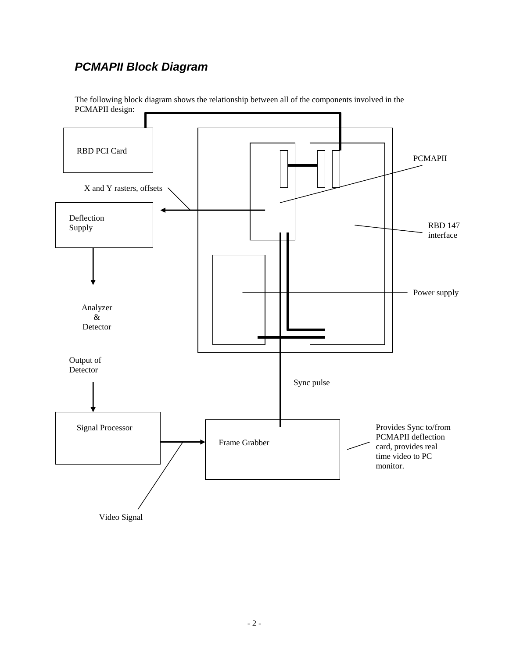## *PCMAPII Block Diagram*



The following block diagram shows the relationship between all of the components involved in the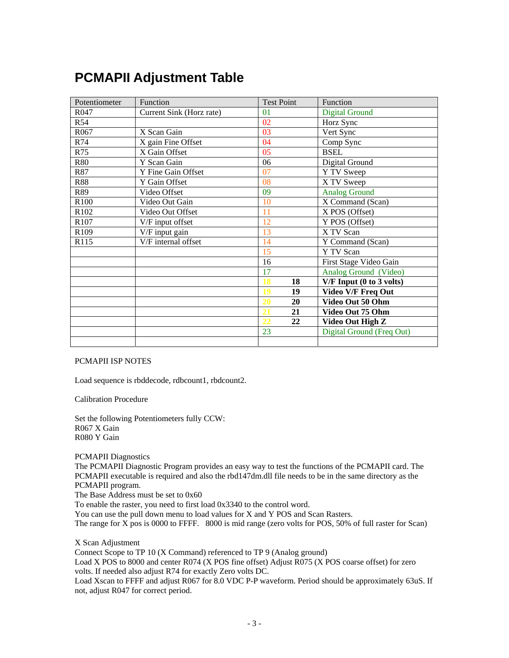# **PCMAPII Adjustment Table**

| Potentiometer    | Function                 | <b>Test Point</b> | Function                  |
|------------------|--------------------------|-------------------|---------------------------|
| R047             | Current Sink (Horz rate) | 01                | <b>Digital Ground</b>     |
| <b>R54</b>       |                          | 02                | Horz Sync                 |
| R <sub>067</sub> | X Scan Gain              | 03                | Vert Sync                 |
| R74              | X gain Fine Offset       | 04                | Comp Sync                 |
| R75              | X Gain Offset            | 05                | <b>BSEL</b>               |
| <b>R80</b>       | Y Scan Gain              | 06                | Digital Ground            |
| R87              | Y Fine Gain Offset       | 07                | Y TV Sweep                |
| <b>R88</b>       | Y Gain Offset            | 08                | X TV Sweep                |
| R89              | Video Offset             | 09                | <b>Analog Ground</b>      |
| R100             | Video Out Gain           | 10                | X Command (Scan)          |
| R102             | Video Out Offset         | 11                | X POS (Offset)            |
| R107             | V/F input offset         | 12                | Y POS (Offset)            |
| R109             | V/F input gain           | 13                | X TV Scan                 |
| R115             | V/F internal offset      | 14                | Y Command (Scan)          |
|                  |                          | 15                | Y TV Scan                 |
|                  |                          | 16                | First Stage Video Gain    |
|                  |                          | 17                | Analog Ground (Video)     |
|                  |                          | 18<br>18          | V/F Input (0 to 3 volts)  |
|                  |                          | 19<br>19          | <b>Video V/F Freq Out</b> |
|                  |                          | 20<br>20          | Video Out 50 Ohm          |
|                  |                          | 21<br>21          | Video Out 75 Ohm          |
|                  |                          | 22<br>22          | Video Out High Z          |
|                  |                          | 23                | Digital Ground (Freq Out) |
|                  |                          |                   |                           |

#### PCMAPII ISP NOTES

Load sequence is rbddecode, rdbcount1, rbdcount2.

Calibration Procedure

Set the following Potentiometers fully CCW: R067 X Gain R080 Y Gain

PCMAPII Diagnostics

The PCMAPII Diagnostic Program provides an easy way to test the functions of the PCMAPII card. The PCMAPII executable is required and also the rbd147dm.dll file needs to be in the same directory as the PCMAPII program.

The Base Address must be set to 0x60

To enable the raster, you need to first load 0x3340 to the control word.

You can use the pull down menu to load values for X and Y POS and Scan Rasters.

The range for X pos is 0000 to FFFF. 8000 is mid range (zero volts for POS, 50% of full raster for Scan)

X Scan Adjustment

Connect Scope to TP 10 (X Command) referenced to TP 9 (Analog ground)

Load X POS to 8000 and center R074 (X POS fine offset) Adjust R075 (X POS coarse offset) for zero volts. If needed also adjust R74 for exactly Zero volts DC.

Load Xscan to FFFF and adjust R067 for 8.0 VDC P-P waveform. Period should be approximately 63uS. If not, adjust R047 for correct period.